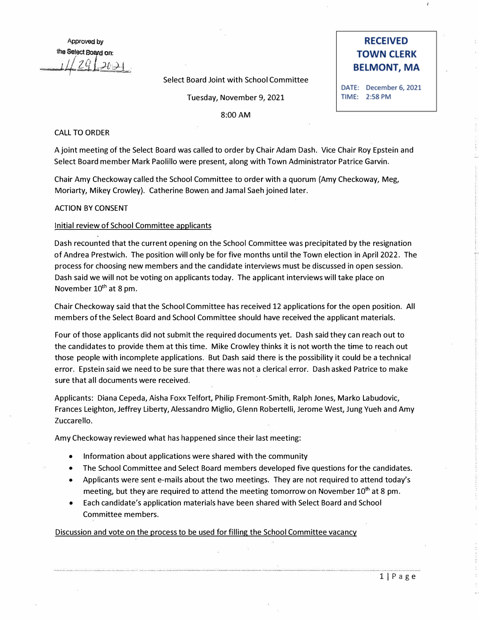Approved by **the Select. Bord on··. :.**   $2q \rightarrow$ 

## Select Board Joint with School Committee

Tuesday, November 9, 2021

8:00AM

## CALL TO ORDER

A joint meeting of the Select Board was called to order by Chair Adam Dash. Vice Chair Roy Epstein and Select Board member Mark Paolillo were present, along with Town Administrator Patrice Garvin.

Chair Amy Checkoway called the School Committee to order with a quorum (Amy Checkoway, Meg, Moriarty, Mikey Crowley). Catherine Bowen and Jamal Saeh joined later.

# ACTION BY CONSENT

# Initial review of School Committee applicants

Dash recounted that the current opening on the School Committee was precipitated by the resignation of Andrea Prestwich. The position will only be for five months until the Town election in April 2022. The process for choosing new members and the candidate interviews must be discussed in open session. Dash said we will not be voting on applicants today. The applicant interviews will take place on November 10<sup>th</sup> at 8 pm.

Chair Checkoway said that the School Committee has received 12 applications for the open position. All members of the Select Board and School Committee should have received the applicant materials.

Four of those applicants did not submit the required documents yet. Dash said they can reach out to the candidates to provide them at this time. Mike Crowley thinks it is not worth the time to reach out those people with incomplete applications. But Dash said there is the possibility it could be a technical error. Epstein said we need to be sure that there was not a clerical error. Dash asked Patrice to make sure that all documents were received.

Applicants: Diana Cepeda, Aisha Foxx Telfort, Philip Fremont-Smith, Ralph Jones, Marko Labudovic, Frances Leighton, Jeffrey Liberty, Alessandro Miglio, Glenn Robertelli, Jerome West, Jung Yueh and Amy Zuccarello.

Amy Checkoway reviewed what has happened since their last meeting:

- Information about applications were shared with the community
- The School Committee and Select Board members developed five questions for the candidates.
- Applicants were sent e-mails about the two meetings. They are not required to attend today's meeting, but they are required to attend the meeting tomorrow on November  $10<sup>th</sup>$  at 8 pm.
- Each candidate's application materials have been shared with Select Board and School Committee members.

Discussion and vote on the process to be used for filling the School Committee vacancy

# **RECEIVED TOWN CLERK BELMONT, MA**

DATE: December 6, 2021 TIME: 2:58 PM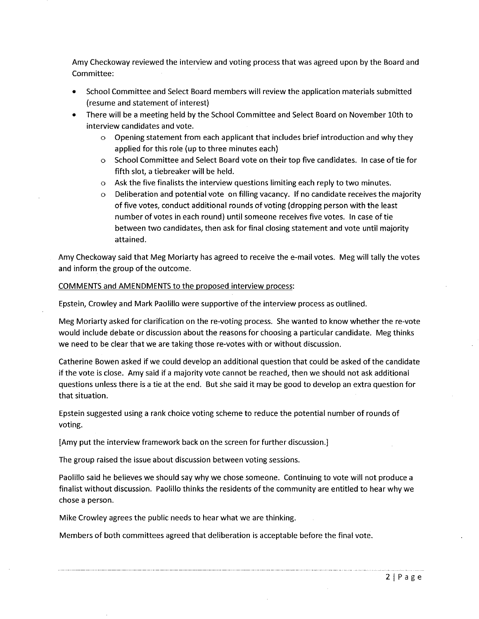Amy Checkoway reviewed the interview and voting process that was agreed upon by the Board and Committee:

- School Committee and Select Board members will review the application materials submitted (resume and statement of interest)
- There will be a meeting held by the School Committee and Select Board on November 10th to interview candidates and vote.
	- $\circ$  Opening statement from each applicant that includes brief introduction and why they applied for this role (up to three minutes each)
	- o School Committee and Select Board vote on their top five candidates. In case of tie for fifth slot, a tiebreaker will be held.
	- $\circ$  Ask the five finalists the interview questions limiting each reply to two minutes.
	- Deliberation and potential vote on filling vacancy. If no candidate receives the majority  $\circ$ of five votes, conduct additional rounds of voting (dropping person with the least number of votes in each round) until someone receives five votes. In case of tie between two candidates, then ask for final closing statement and vote until majority attained.

Amy Checkoway said that Meg Moriarty has agreed to receive the e-mail votes. Meg will tally the votes and inform the group of the outcome.

# COMMENTS and AMENDMENTS to the proposed interview process:

Epstein, Crowley and Mark Paolillo were supportive of the interview process as outlined.

Meg Moriarty asked for clarification on the re-voting process. She wanted to know whether the re-vote would include debate or discussion about the reasons for choosing a particular candidate. Meg thinks we need to be clear that we are taking those re-votes with or without discussion.

Catherine Bowen asked if we could develop an additional question that could be asked of the candidate if the vote is close. Amy said if a majority vote cannot be reached, then we should not ask additional questions unless there is a tie at the end. But she said it may be good to develop an extra question for that situation.

Epstein suggested using a rank choice voting scheme to reduce the potential number of rounds of voting.

[Amy put the interview framework back on the screen for further discussion.]

The group raised the issue about discussion between voting sessions.

Paolillo said he believes we should say why we chose someone. Continuing to vote will not produce a finalist without discussion. Paolillo thinks the residents of the community are entitled to hear why we chose a person.

Mike Crowley agrees the public needs to hear what we are thinking.

Members of both committees agreed that deliberation is acceptable before the final vote.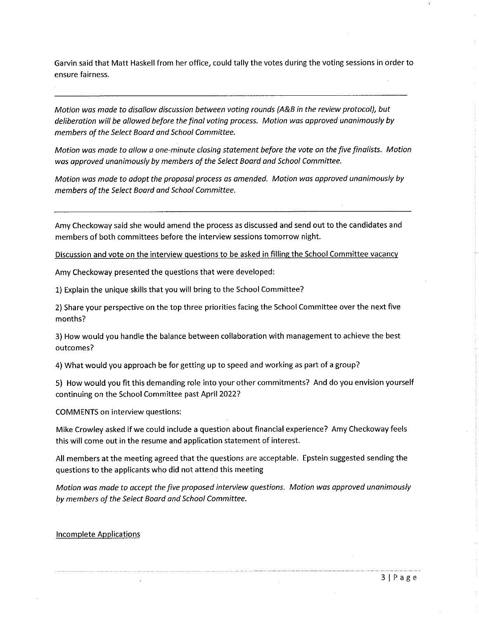Garvin said that Matt Haskell from her office, could tally the votes during the voting sessions in order to ensure fairness.

Motion was made to disallow discussion between voting rounds (A&B in the review protocol), but deliberation will be allowed before the final voting process. Motion was approved unanimously by members of the Select Board and School Committee.

Motion was made to allow a one-minute closing statement before the vote on the five finalists. Motion was approved unanimously by members of the Select Board and School Committee.

Motion was made to adopt the proposal process as amended. Motion was approved unanimously by members of the Select Board and School Committee.

Amy Checkoway said she would amend the process as discussed and send out to the candidates and members of both committees before the interview sessions tomorrow night.

Discussion and vote on the interview questions to be asked in filling the School Committee vacancy

Amy Checkoway presented the questions that were developed:

1) Explain the unique skills that you will bring to the School Committee?

2) Share your perspective on the top three priorities facing the School Committee over the next five months?

3) How would you handle the balance between collaboration with management to achieve the best outcomes?

4) What would you approach be for getting up to speed and working as part of a group?

5) How would you fit this demanding role into your other commitments? And do you envision yourself continuing on the School Committee past April 2022?

**COMMENTS on interview questions:** 

Mike Crowley asked if we could include a question about financial experience? Amy Checkoway feels this will come out in the resume and application statement of interest.

All members at the meeting agreed that the questions are acceptable. Epstein suggested sending the questions to the applicants who did not attend this meeting

Motion was made to accept the five proposed interview questions. Motion was approved unanimously by members of the Select Board and School Committee.

## **Incomplete Applications**